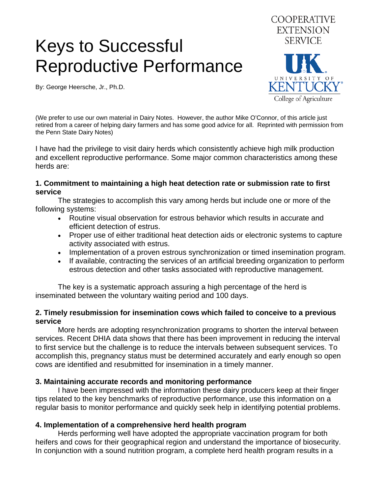# Keys to Successful Reproductive Performance

By: George Heersche, Jr., Ph.D.



(We prefer to use our own material in Dairy Notes. However, the author Mike O'Connor, of this article just retired from a career of helping dairy farmers and has some good advice for all. Reprinted with permission from the Penn State Dairy Notes)

I have had the privilege to visit dairy herds which consistently achieve high milk production and excellent reproductive performance. Some major common characteristics among these herds are:

#### **1. Commitment to maintaining a high heat detection rate or submission rate to first service**

 The strategies to accomplish this vary among herds but include one or more of the following systems:

- Routine visual observation for estrous behavior which results in accurate and efficient detection of estrus.
- Proper use of either traditional heat detection aids or electronic systems to capture activity associated with estrus.
- Implementation of a proven estrous synchronization or timed insemination program.
- If available, contracting the services of an artificial breeding organization to perform estrous detection and other tasks associated with reproductive management.

 The key is a systematic approach assuring a high percentage of the herd is inseminated between the voluntary waiting period and 100 days.

# **2. Timely resubmission for insemination cows which failed to conceive to a previous service**

 More herds are adopting resynchronization programs to shorten the interval between services. Recent DHIA data shows that there has been improvement in reducing the interval to first service but the challenge is to reduce the intervals between subsequent services. To accomplish this, pregnancy status must be determined accurately and early enough so open cows are identified and resubmitted for insemination in a timely manner.

# **3. Maintaining accurate records and monitoring performance**

 I have been impressed with the information these dairy producers keep at their finger tips related to the key benchmarks of reproductive performance, use this information on a regular basis to monitor performance and quickly seek help in identifying potential problems.

# **4. Implementation of a comprehensive herd health program**

 Herds performing well have adopted the appropriate vaccination program for both heifers and cows for their geographical region and understand the importance of biosecurity. In conjunction with a sound nutrition program, a complete herd health program results in a